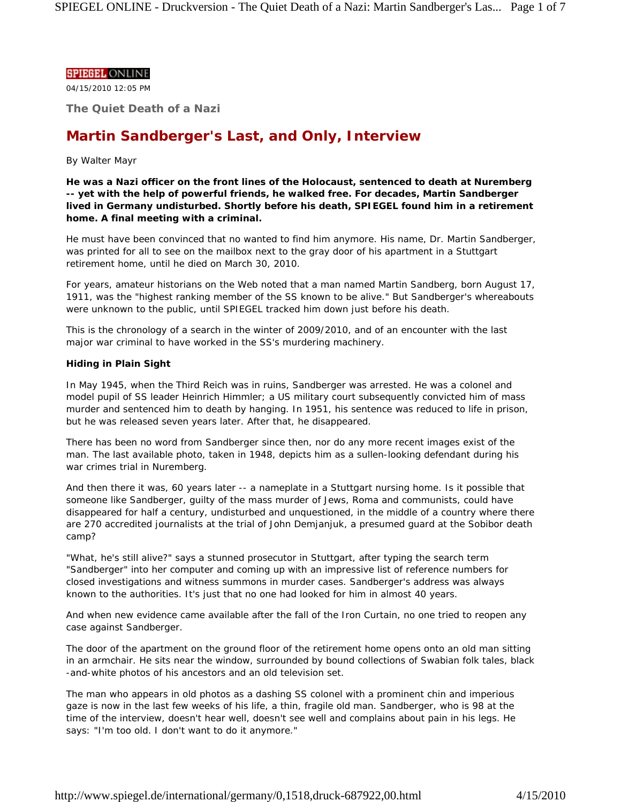## **SPIEGEL ONLINE**

04/15/2010 12:05 PM

**The Quiet Death of a Nazi**

# **Martin Sandberger's Last, and Only, Interview**

## *By Walter Mayr*

**He was a Nazi officer on the front lines of the Holocaust, sentenced to death at Nuremberg -- yet with the help of powerful friends, he walked free. For decades, Martin Sandberger lived in Germany undisturbed. Shortly before his death, SPIEGEL found him in a retirement home. A final meeting with a criminal.**

He must have been convinced that no wanted to find him anymore. His name, Dr. Martin Sandberger, was printed for all to see on the mailbox next to the gray door of his apartment in a Stuttgart retirement home, until he died on March 30, 2010.

For years, amateur historians on the Web noted that a man named Martin Sandberg, born August 17, 1911, was the "highest ranking member of the SS known to be alive." But Sandberger's whereabouts were unknown to the public, until SPIEGEL tracked him down just before his death.

This is the chronology of a search in the winter of 2009/2010, and of an encounter with the last major war criminal to have worked in the SS's murdering machinery.

## **Hiding in Plain Sight**

In May 1945, when the Third Reich was in ruins, Sandberger was arrested. He was a colonel and model pupil of SS leader Heinrich Himmler; a US military court subsequently convicted him of mass murder and sentenced him to death by hanging. In 1951, his sentence was reduced to life in prison, but he was released seven years later. After that, he disappeared.

There has been no word from Sandberger since then, nor do any more recent images exist of the man. The last available photo, taken in 1948, depicts him as a sullen-looking defendant during his war crimes trial in Nuremberg.

And then there it was, 60 years later -- a nameplate in a Stuttgart nursing home. Is it possible that someone like Sandberger, guilty of the mass murder of Jews, Roma and communists, could have disappeared for half a century, undisturbed and unquestioned, in the middle of a country where there are 270 accredited journalists at the trial of John Demjanjuk, a presumed guard at the Sobibor death camp?

"What, he's still alive?" says a stunned prosecutor in Stuttgart, after typing the search term "Sandberger" into her computer and coming up with an impressive list of reference numbers for closed investigations and witness summons in murder cases. Sandberger's address was always known to the authorities. It's just that no one had looked for him in almost 40 years.

And when new evidence came available after the fall of the Iron Curtain, no one tried to reopen any case against Sandberger.

The door of the apartment on the ground floor of the retirement home opens onto an old man sitting in an armchair. He sits near the window, surrounded by bound collections of Swabian folk tales, black -and-white photos of his ancestors and an old television set.

The man who appears in old photos as a dashing SS colonel with a prominent chin and imperious gaze is now in the last few weeks of his life, a thin, fragile old man. Sandberger, who is 98 at the time of the interview, doesn't hear well, doesn't see well and complains about pain in his legs. He says: "I'm too old. I don't want to do it anymore."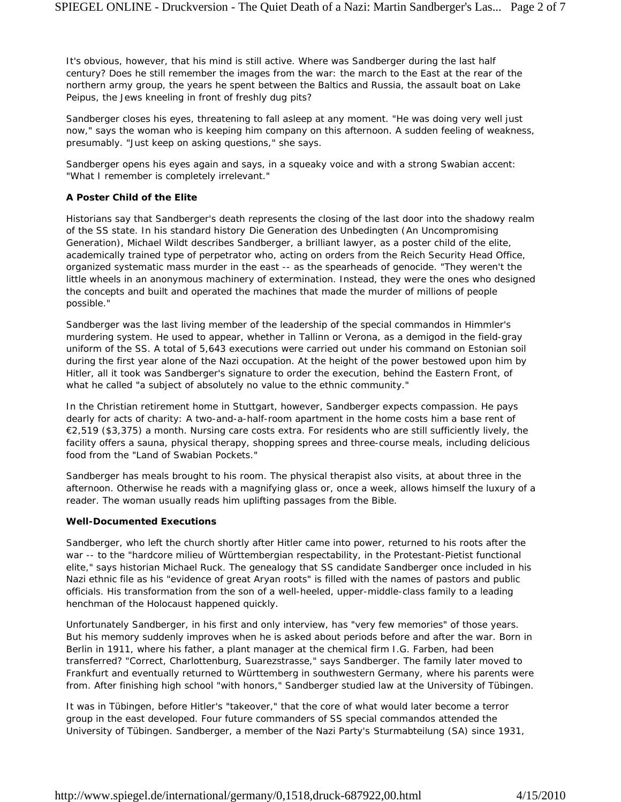It's obvious, however, that his mind is still active. Where was Sandberger during the last half century? Does he still remember the images from the war: the march to the East at the rear of the northern army group, the years he spent between the Baltics and Russia, the assault boat on Lake Peipus, the Jews kneeling in front of freshly dug pits?

Sandberger closes his eyes, threatening to fall asleep at any moment. "He was doing very well just now," says the woman who is keeping him company on this afternoon. A sudden feeling of weakness, presumably. "Just keep on asking questions," she says.

Sandberger opens his eyes again and says, in a squeaky voice and with a strong Swabian accent: "What I remember is completely irrelevant."

## **A Poster Child of the Elite**

Historians say that Sandberger's death represents the closing of the last door into the shadowy realm of the SS state. In his standard history *Die Generation des Unbedingten* (*An Uncompromising Generation*), Michael Wildt describes Sandberger, a brilliant lawyer, as a poster child of the elite, academically trained type of perpetrator who, acting on orders from the Reich Security Head Office, organized systematic mass murder in the east -- as the spearheads of genocide. "They weren't the little wheels in an anonymous machinery of extermination. Instead, they were the ones who designed the concepts and built and operated the machines that made the murder of millions of people possible."

Sandberger was the last living member of the leadership of the special commandos in Himmler's murdering system. He used to appear, whether in Tallinn or Verona, as a demigod in the field-gray uniform of the SS. A total of 5,643 executions were carried out under his command on Estonian soil during the first year alone of the Nazi occupation. At the height of the power bestowed upon him by Hitler, all it took was Sandberger's signature to order the execution, behind the Eastern Front, of what he called "a subject of absolutely no value to the ethnic community."

In the Christian retirement home in Stuttgart, however, Sandberger expects compassion. He pays dearly for acts of charity: A two-and-a-half-room apartment in the home costs him a base rent of €2,519 (\$3,375) a month. Nursing care costs extra. For residents who are still sufficiently lively, the facility offers a sauna, physical therapy, shopping sprees and three-course meals, including delicious food from the "Land of Swabian Pockets."

Sandberger has meals brought to his room. The physical therapist also visits, at about three in the afternoon. Otherwise he reads with a magnifying glass or, once a week, allows himself the luxury of a reader. The woman usually reads him uplifting passages from the Bible.

### **Well-Documented Executions**

Sandberger, who left the church shortly after Hitler came into power, returned to his roots after the war -- to the "hardcore milieu of Württembergian respectability, in the Protestant-Pietist functional elite," says historian Michael Ruck. The genealogy that SS candidate Sandberger once included in his Nazi ethnic file as his "evidence of great Aryan roots" is filled with the names of pastors and public officials. His transformation from the son of a well-heeled, upper-middle-class family to a leading henchman of the Holocaust happened quickly.

Unfortunately Sandberger, in his first and only interview, has "very few memories" of those years. But his memory suddenly improves when he is asked about periods before and after the war. Born in Berlin in 1911, where his father, a plant manager at the chemical firm I.G. Farben, had been transferred? "Correct, Charlottenburg, Suarezstrasse," says Sandberger. The family later moved to Frankfurt and eventually returned to Württemberg in southwestern Germany, where his parents were from. After finishing high school "with honors," Sandberger studied law at the University of Tübingen.

It was in Tübingen, before Hitler's "takeover," that the core of what would later become a terror group in the east developed. Four future commanders of SS special commandos attended the University of Tübingen. Sandberger, a member of the Nazi Party's *Sturmabteilung* (SA) since 1931,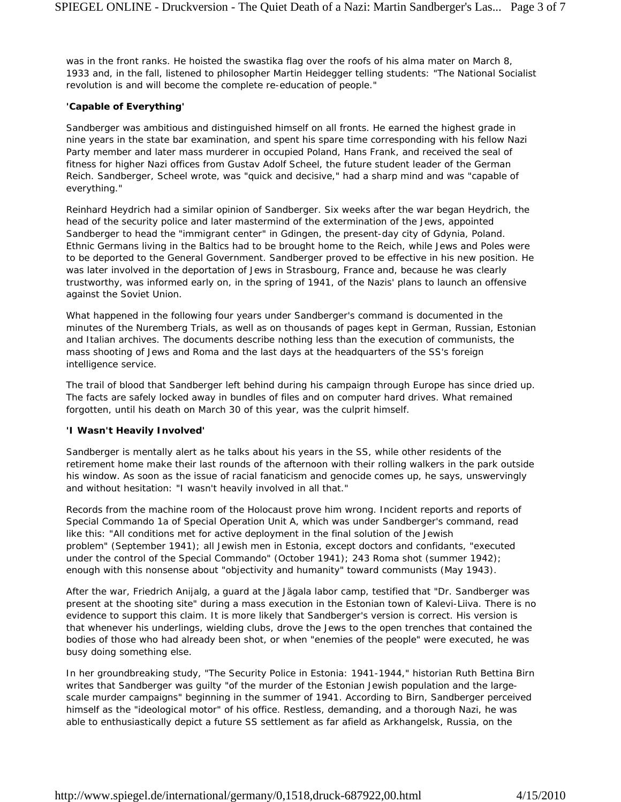was in the front ranks. He hoisted the swastika flag over the roofs of his alma mater on March 8, 1933 and, in the fall, listened to philosopher Martin Heidegger telling students: "The National Socialist revolution is and will become the complete re-education of people."

## **'Capable of Everything'**

Sandberger was ambitious and distinguished himself on all fronts. He earned the highest grade in nine years in the state bar examination, and spent his spare time corresponding with his fellow Nazi Party member and later mass murderer in occupied Poland, Hans Frank, and received the seal of fitness for higher Nazi offices from Gustav Adolf Scheel, the future student leader of the German Reich. Sandberger, Scheel wrote, was "quick and decisive," had a sharp mind and was "capable of everything."

Reinhard Heydrich had a similar opinion of Sandberger. Six weeks after the war began Heydrich, the head of the security police and later mastermind of the extermination of the Jews, appointed Sandberger to head the "immigrant center" in Gdingen, the present-day city of Gdynia, Poland. Ethnic Germans living in the Baltics had to be brought home to the Reich, while Jews and Poles were to be deported to the General Government. Sandberger proved to be effective in his new position. He was later involved in the deportation of Jews in Strasbourg, France and, because he was clearly trustworthy, was informed early on, in the spring of 1941, of the Nazis' plans to launch an offensive against the Soviet Union.

What happened in the following four years under Sandberger's command is documented in the minutes of the Nuremberg Trials, as well as on thousands of pages kept in German, Russian, Estonian and Italian archives. The documents describe nothing less than the execution of communists, the mass shooting of Jews and Roma and the last days at the headquarters of the SS's foreign intelligence service.

The trail of blood that Sandberger left behind during his campaign through Europe has since dried up. The facts are safely locked away in bundles of files and on computer hard drives. What remained forgotten, until his death on March 30 of this year, was the culprit himself.

### **'I Wasn't Heavily Involved'**

Sandberger is mentally alert as he talks about his years in the SS, while other residents of the retirement home make their last rounds of the afternoon with their rolling walkers in the park outside his window. As soon as the issue of racial fanaticism and genocide comes up, he says, unswervingly and without hesitation: "I wasn't heavily involved in all that."

Records from the machine room of the Holocaust prove him wrong. Incident reports and reports of Special Commando 1a of Special Operation Unit A, which was under Sandberger's command, read like this: "All conditions met for active deployment in the final solution of the Jewish problem" (September 1941); all Jewish men in Estonia, except doctors and confidants, "executed under the control of the Special Commando" (October 1941); 243 Roma shot (summer 1942); enough with this nonsense about "objectivity and humanity" toward communists (May 1943).

After the war, Friedrich Anijalg, a guard at the Jägala labor camp, testified that "Dr. Sandberger was present at the shooting site" during a mass execution in the Estonian town of Kalevi-Liiva. There is no evidence to support this claim. It is more likely that Sandberger's version is correct. His version is that whenever his underlings, wielding clubs, drove the Jews to the open trenches that contained the bodies of those who had already been shot, or when "enemies of the people" were executed, he was busy doing something else.

In her groundbreaking study, "The Security Police in Estonia: 1941-1944," historian Ruth Bettina Birn writes that Sandberger was guilty "of the murder of the Estonian Jewish population and the largescale murder campaigns" beginning in the summer of 1941. According to Birn, Sandberger perceived himself as the "ideological motor" of his office. Restless, demanding, and a thorough Nazi, he was able to enthusiastically depict a future SS settlement as far afield as Arkhangelsk, Russia, on the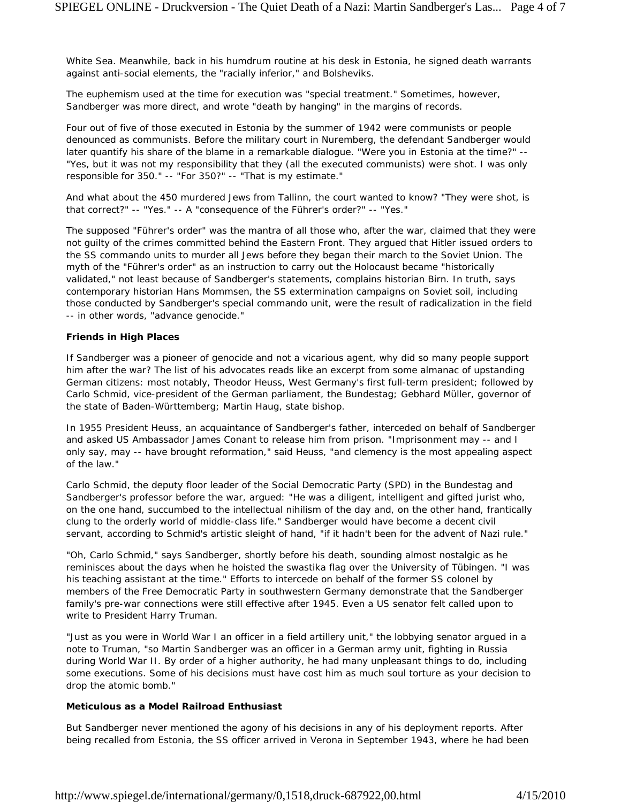White Sea. Meanwhile, back in his humdrum routine at his desk in Estonia, he signed death warrants against anti-social elements, the "racially inferior," and Bolsheviks.

The euphemism used at the time for execution was "special treatment." Sometimes, however, Sandberger was more direct, and wrote "death by hanging" in the margins of records.

Four out of five of those executed in Estonia by the summer of 1942 were communists or people denounced as communists. Before the military court in Nuremberg, the defendant Sandberger would later quantify his share of the blame in a remarkable dialogue. "Were you in Estonia at the time?" -- "Yes, but it was not my responsibility that they (all the executed communists) were shot. I was only responsible for 350." -- "For 350?" -- "That is my estimate."

And what about the 450 murdered Jews from Tallinn, the court wanted to know? "They were shot, is that correct?" -- "Yes." -- A "consequence of the Führer's order?" -- "Yes."

The supposed "Führer's order" was the mantra of all those who, after the war, claimed that they were not guilty of the crimes committed behind the Eastern Front. They argued that Hitler issued orders to the SS commando units to murder all Jews before they began their march to the Soviet Union. The myth of the "Führer's order" as an instruction to carry out the Holocaust became "historically validated," not least because of Sandberger's statements, complains historian Birn. In truth, says contemporary historian Hans Mommsen, the SS extermination campaigns on Soviet soil, including those conducted by Sandberger's special commando unit, were the result of radicalization in the field -- in other words, "advance genocide."

## **Friends in High Places**

If Sandberger was a pioneer of genocide and not a vicarious agent, why did so many people support him after the war? The list of his advocates reads like an excerpt from some almanac of upstanding German citizens: most notably, Theodor Heuss, West Germany's first full-term president; followed by Carlo Schmid, vice-president of the German parliament, the Bundestag; Gebhard Müller, governor of the state of Baden-Württemberg; Martin Haug, state bishop.

In 1955 President Heuss, an acquaintance of Sandberger's father, interceded on behalf of Sandberger and asked US Ambassador James Conant to release him from prison. "Imprisonment may -- and I only say, may -- have brought reformation," said Heuss, "and clemency is the most appealing aspect of the law."

Carlo Schmid, the deputy floor leader of the Social Democratic Party (SPD) in the Bundestag and Sandberger's professor before the war, argued: "He was a diligent, intelligent and gifted jurist who, on the one hand, succumbed to the intellectual nihilism of the day and, on the other hand, frantically clung to the orderly world of middle-class life." Sandberger would have become a decent civil servant, according to Schmid's artistic sleight of hand, "if it hadn't been for the advent of Nazi rule."

"Oh, Carlo Schmid," says Sandberger, shortly before his death, sounding almost nostalgic as he reminisces about the days when he hoisted the swastika flag over the University of Tübingen. "I was his teaching assistant at the time." Efforts to intercede on behalf of the former SS colonel by members of the Free Democratic Party in southwestern Germany demonstrate that the Sandberger family's pre-war connections were still effective after 1945. Even a US senator felt called upon to write to President Harry Truman.

"Just as you were in World War I an officer in a field artillery unit," the lobbying senator argued in a note to Truman, "so Martin Sandberger was an officer in a German army unit, fighting in Russia during World War II. By order of a higher authority, he had many unpleasant things to do, including some executions. Some of his decisions must have cost him as much soul torture as your decision to drop the atomic bomb."

## **Meticulous as a Model Railroad Enthusiast**

But Sandberger never mentioned the agony of his decisions in any of his deployment reports. After being recalled from Estonia, the SS officer arrived in Verona in September 1943, where he had been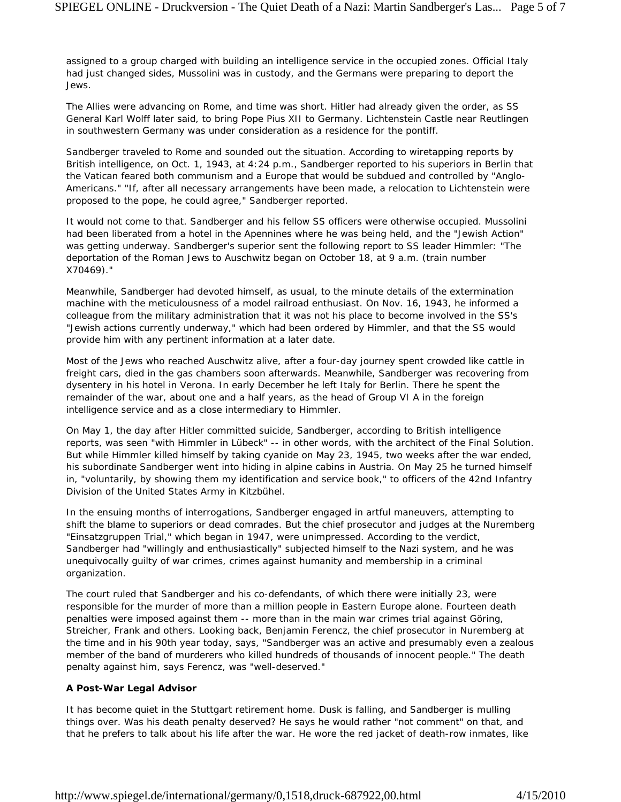assigned to a group charged with building an intelligence service in the occupied zones. Official Italy had just changed sides, Mussolini was in custody, and the Germans were preparing to deport the Jews.

The Allies were advancing on Rome, and time was short. Hitler had already given the order, as SS General Karl Wolff later said, to bring Pope Pius XII to Germany. Lichtenstein Castle near Reutlingen in southwestern Germany was under consideration as a residence for the pontiff.

Sandberger traveled to Rome and sounded out the situation. According to wiretapping reports by British intelligence, on Oct. 1, 1943, at 4:24 p.m., Sandberger reported to his superiors in Berlin that the Vatican feared both communism and a Europe that would be subdued and controlled by "Anglo-Americans." "If, after all necessary arrangements have been made, a relocation to Lichtenstein were proposed to the pope, he could agree," Sandberger reported.

It would not come to that. Sandberger and his fellow SS officers were otherwise occupied. Mussolini had been liberated from a hotel in the Apennines where he was being held, and the "Jewish Action" was getting underway. Sandberger's superior sent the following report to SS leader Himmler: "The deportation of the Roman Jews to Auschwitz began on October 18, at 9 a.m. (train number X70469)."

Meanwhile, Sandberger had devoted himself, as usual, to the minute details of the extermination machine with the meticulousness of a model railroad enthusiast. On Nov. 16, 1943, he informed a colleague from the military administration that it was not his place to become involved in the SS's "Jewish actions currently underway," which had been ordered by Himmler, and that the SS would provide him with any pertinent information at a later date.

Most of the Jews who reached Auschwitz alive, after a four-day journey spent crowded like cattle in freight cars, died in the gas chambers soon afterwards. Meanwhile, Sandberger was recovering from dysentery in his hotel in Verona. In early December he left Italy for Berlin. There he spent the remainder of the war, about one and a half years, as the head of Group VI A in the foreign intelligence service and as a close intermediary to Himmler.

On May 1, the day after Hitler committed suicide, Sandberger, according to British intelligence reports, was seen "with Himmler in Lübeck" -- in other words, with the architect of the Final Solution. But while Himmler killed himself by taking cyanide on May 23, 1945, two weeks after the war ended, his subordinate Sandberger went into hiding in alpine cabins in Austria. On May 25 he turned himself in, "voluntarily, by showing them my identification and service book," to officers of the 42nd Infantry Division of the United States Army in Kitzbühel.

In the ensuing months of interrogations, Sandberger engaged in artful maneuvers, attempting to shift the blame to superiors or dead comrades. But the chief prosecutor and judges at the Nuremberg "Einsatzgruppen Trial," which began in 1947, were unimpressed. According to the verdict, Sandberger had "willingly and enthusiastically" subjected himself to the Nazi system, and he was unequivocally guilty of war crimes, crimes against humanity and membership in a criminal organization.

The court ruled that Sandberger and his co-defendants, of which there were initially 23, were responsible for the murder of more than a million people in Eastern Europe alone. Fourteen death penalties were imposed against them -- more than in the main war crimes trial against Göring, Streicher, Frank and others. Looking back, Benjamin Ferencz, the chief prosecutor in Nuremberg at the time and in his 90th year today, says, "Sandberger was an active and presumably even a zealous member of the band of murderers who killed hundreds of thousands of innocent people." The death penalty against him, says Ferencz, was "well-deserved."

## **A Post-War Legal Advisor**

It has become quiet in the Stuttgart retirement home. Dusk is falling, and Sandberger is mulling things over. Was his death penalty deserved? He says he would rather "not comment" on that, and that he prefers to talk about his life after the war. He wore the red jacket of death-row inmates, like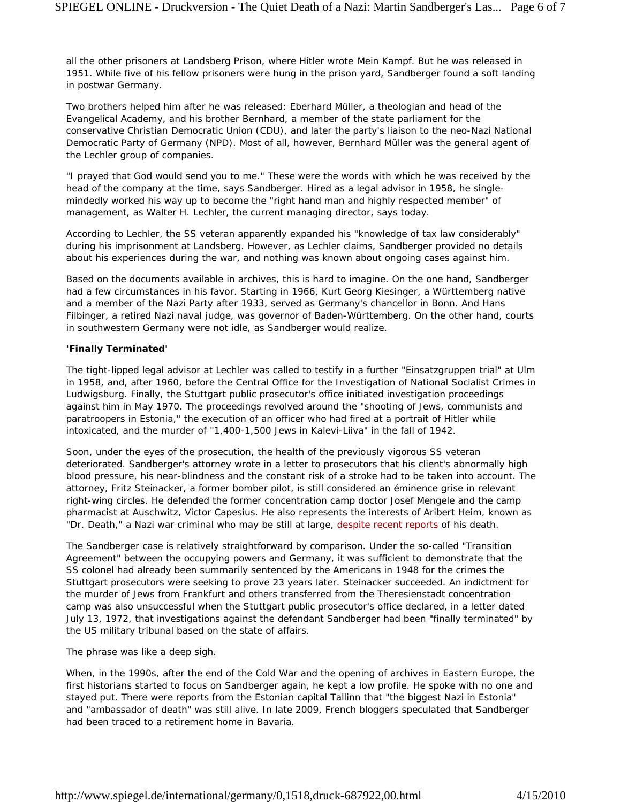all the other prisoners at Landsberg Prison, where Hitler wrote *Mein Kampf*. But he was released in 1951. While five of his fellow prisoners were hung in the prison yard, Sandberger found a soft landing in postwar Germany.

Two brothers helped him after he was released: Eberhard Müller, a theologian and head of the Evangelical Academy, and his brother Bernhard, a member of the state parliament for the conservative Christian Democratic Union (CDU), and later the party's liaison to the neo-Nazi National Democratic Party of Germany (NPD). Most of all, however, Bernhard Müller was the general agent of the Lechler group of companies.

"I prayed that God would send you to me." These were the words with which he was received by the head of the company at the time, says Sandberger. Hired as a legal advisor in 1958, he singlemindedly worked his way up to become the "right hand man and highly respected member" of management, as Walter H. Lechler, the current managing director, says today.

According to Lechler, the SS veteran apparently expanded his "knowledge of tax law considerably" during his imprisonment at Landsberg. However, as Lechler claims, Sandberger provided no details about his experiences during the war, and nothing was known about ongoing cases against him.

Based on the documents available in archives, this is hard to imagine. On the one hand, Sandberger had a few circumstances in his favor. Starting in 1966, Kurt Georg Kiesinger, a Württemberg native and a member of the Nazi Party after 1933, served as Germany's chancellor in Bonn. And Hans Filbinger, a retired Nazi naval judge, was governor of Baden-Württemberg. On the other hand, courts in southwestern Germany were not idle, as Sandberger would realize.

## **'Finally Terminated'**

The tight-lipped legal advisor at Lechler was called to testify in a further "Einsatzgruppen trial" at Ulm in 1958, and, after 1960, before the Central Office for the Investigation of National Socialist Crimes in Ludwigsburg. Finally, the Stuttgart public prosecutor's office initiated investigation proceedings against him in May 1970. The proceedings revolved around the "shooting of Jews, communists and paratroopers in Estonia," the execution of an officer who had fired at a portrait of Hitler while intoxicated, and the murder of "1,400-1,500 Jews in Kalevi-Liiva" in the fall of 1942.

Soon, under the eyes of the prosecution, the health of the previously vigorous SS veteran deteriorated. Sandberger's attorney wrote in a letter to prosecutors that his client's abnormally high blood pressure, his near-blindness and the constant risk of a stroke had to be taken into account. The attorney, Fritz Steinacker, a former bomber pilot, is still considered an éminence grise in relevant right-wing circles. He defended the former concentration camp doctor Josef Mengele and the camp pharmacist at Auschwitz, Victor Capesius. He also represents the interests of Aribert Heim, known as "Dr. Death," a Nazi war criminal who may be still at large, despite recent reports of his death.

The Sandberger case is relatively straightforward by comparison. Under the so-called "Transition Agreement" between the occupying powers and Germany, it was sufficient to demonstrate that the SS colonel had already been summarily sentenced by the Americans in 1948 for the crimes the Stuttgart prosecutors were seeking to prove 23 years later. Steinacker succeeded. An indictment for the murder of Jews from Frankfurt and others transferred from the Theresienstadt concentration camp was also unsuccessful when the Stuttgart public prosecutor's office declared, in a letter dated July 13, 1972, that investigations against the defendant Sandberger had been "finally terminated" by the US military tribunal based on the state of affairs.

The phrase was like a deep sigh.

When, in the 1990s, after the end of the Cold War and the opening of archives in Eastern Europe, the first historians started to focus on Sandberger again, he kept a low profile. He spoke with no one and stayed put. There were reports from the Estonian capital Tallinn that "the biggest Nazi in Estonia" and "ambassador of death" was still alive. In late 2009, French bloggers speculated that Sandberger had been traced to a retirement home in Bavaria.